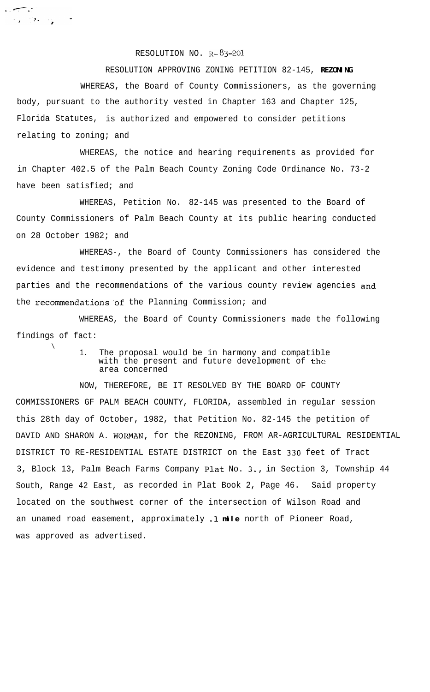## RESOLUTION NO. R-83-201

RESOLUTION APPROVING ZONING PETITION 82-145, **REZONING**

WHEREAS, the Board of County Commissioners, as the governing body, pursuant to the authority vested in Chapter 163 and Chapter 125, Florida Statutes, is authorized and empowered to consider petitions relating to zoning; and

WHEREAS, the notice and hearing requirements as provided for in Chapter 402.5 of the Palm Beach County Zoning Code Ordinance No. 73-2 have been satisfied; and

WHEREAS, Petition No. 82-145 was presented to the Board of County Commissioners of Palm Beach County at its public hearing conducted on 28 October 1982; and

WHEREAS-, the Board of County Commissioners has considered the evidence and testimony presented by the applicant and other interested parties and the recommendations of the various county review agencies and. the recommendations of the Planning Commission; and

WHEREAS, the Board of County Commissioners made the following findings of fact:

> 1. The proposal would be in harmony and compatible with the present and future development of the area concerned

NOW, THEREFORE, BE IT RESOLVED BY THE BOARD OF COUNTY COMMISSIONERS GF PALM BEACH COUNTY, FLORIDA, assembled in regular session this 28th day of October, 1982, that Petition No. 82-145 the petition of DAVID AND SHARON A. WORMAN, for the REZONING, FROM AR-AGRICULTURAL RESIDENTIAL DISTRICT TO RE-RESIDENTIAL ESTATE DISTRICT on the East 330 feet of Tract 3, Block 13, Palm Beach Farms Company Plat No. 3., in Section 3, Township 44 South, Range 42 East, as recorded in Plat Book 2, Page 46. Said property located on the southwest corner of the intersection of Wilson Road and an unamed road easement, approximately **.l mile** north of Pioneer Road, was approved as advertised.

 $\mathcal{L}_{\mathcal{L}}$ 

 $\overline{\phantom{a}}$ 

 $\tau_{\rm 0} = 12.00$